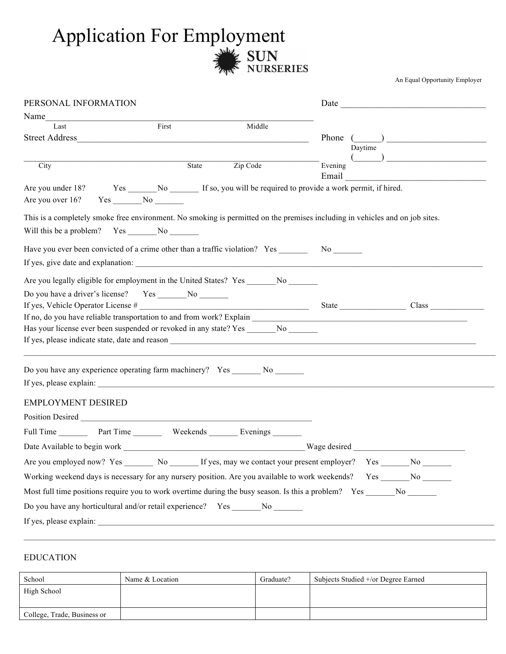## Application For Employment

An Equal Opportunity Employer

| PERSONAL INFORMATION                                                                                                                                                                                                          |              |          |         |         |                                                                                   |  |
|-------------------------------------------------------------------------------------------------------------------------------------------------------------------------------------------------------------------------------|--------------|----------|---------|---------|-----------------------------------------------------------------------------------|--|
| Name and the same state of the same state of the same state of the same state of the same state of the same state of the same state of the same state of the same state of the same state of the same state of the same state |              |          |         |         |                                                                                   |  |
| Last                                                                                                                                                                                                                          | First        | Middle   |         |         |                                                                                   |  |
| Street Address <b>Executive Contract Address</b>                                                                                                                                                                              |              |          |         |         | Phone $(\_\_\_\_\_\$                                                              |  |
|                                                                                                                                                                                                                               |              |          |         | Daytime | $\begin{array}{c} \begin{array}{ c} \hline \hline \hline \end{array} \end{array}$ |  |
| City                                                                                                                                                                                                                          | State        | Zip Code | Evening |         |                                                                                   |  |
|                                                                                                                                                                                                                               |              |          | Email   |         |                                                                                   |  |
| Are you under 18?                                                                                                                                                                                                             |              |          |         |         |                                                                                   |  |
| Are you over 16?                                                                                                                                                                                                              | $Yes$ No $N$ |          |         |         |                                                                                   |  |
| This is a completely smoke free environment. No smoking is permitted on the premises including in vehicles and on job sites.                                                                                                  |              |          |         |         |                                                                                   |  |
|                                                                                                                                                                                                                               |              |          |         |         |                                                                                   |  |
|                                                                                                                                                                                                                               |              |          |         |         |                                                                                   |  |
| Have you ever been convicted of a crime other than a traffic violation? Yes _________ No                                                                                                                                      |              |          |         |         |                                                                                   |  |
| If yes, give date and explanation:                                                                                                                                                                                            |              |          |         |         |                                                                                   |  |
| Are you legally eligible for employment in the United States? Yes _________ No _______                                                                                                                                        |              |          |         |         |                                                                                   |  |
|                                                                                                                                                                                                                               |              |          |         |         |                                                                                   |  |
|                                                                                                                                                                                                                               |              |          |         |         |                                                                                   |  |
|                                                                                                                                                                                                                               |              |          |         |         |                                                                                   |  |
| Has your license ever been suspended or revoked in any state? Yes ________ No _______                                                                                                                                         |              |          |         |         |                                                                                   |  |
|                                                                                                                                                                                                                               |              |          |         |         |                                                                                   |  |
|                                                                                                                                                                                                                               |              |          |         |         |                                                                                   |  |
| Do you have any experience operating farm machinery? Yes _______ No _______                                                                                                                                                   |              |          |         |         |                                                                                   |  |
|                                                                                                                                                                                                                               |              |          |         |         |                                                                                   |  |
| <b>EMPLOYMENT DESIRED</b>                                                                                                                                                                                                     |              |          |         |         |                                                                                   |  |
|                                                                                                                                                                                                                               |              |          |         |         |                                                                                   |  |
|                                                                                                                                                                                                                               |              |          |         |         |                                                                                   |  |
| Full Time Part Time Weekends Evenings                                                                                                                                                                                         |              |          |         |         |                                                                                   |  |
|                                                                                                                                                                                                                               |              |          |         |         |                                                                                   |  |
|                                                                                                                                                                                                                               |              |          |         |         |                                                                                   |  |
| Working weekend days is necessary for any nursery position. Are you available to work weekends? Yes ______ No ______                                                                                                          |              |          |         |         |                                                                                   |  |
| Most full time positions require you to work overtime during the busy season. Is this a problem? Yes ______ No ______                                                                                                         |              |          |         |         |                                                                                   |  |
| Do you have any horticultural and/or retail experience? Yes _______ No _______                                                                                                                                                |              |          |         |         |                                                                                   |  |
|                                                                                                                                                                                                                               |              |          |         |         |                                                                                   |  |
|                                                                                                                                                                                                                               |              |          |         |         |                                                                                   |  |

## EDUCATION

| School                      | Name & Location | Graduate? | Subjects Studied +/or Degree Earned |
|-----------------------------|-----------------|-----------|-------------------------------------|
| High School                 |                 |           |                                     |
|                             |                 |           |                                     |
| College, Trade, Business or |                 |           |                                     |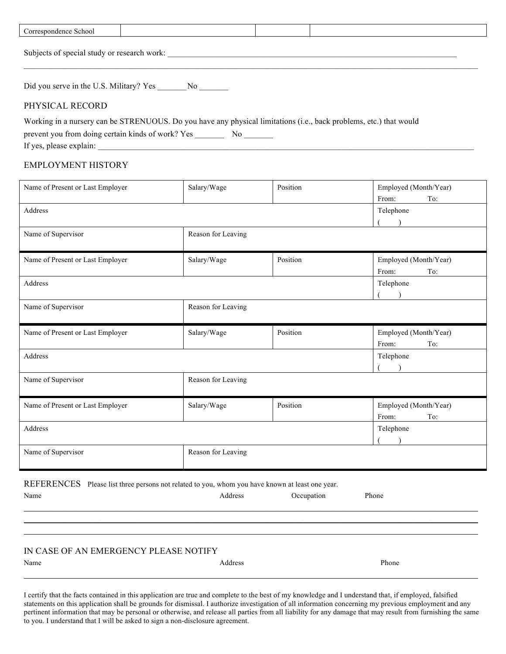| Correspondence School                                                                                                                                                         |  |  |  |  |  |
|-------------------------------------------------------------------------------------------------------------------------------------------------------------------------------|--|--|--|--|--|
| Subjects of special study or research work:                                                                                                                                   |  |  |  |  |  |
| Did you serve in the U.S. Military? Yes No                                                                                                                                    |  |  |  |  |  |
| PHYSICAL RECORD                                                                                                                                                               |  |  |  |  |  |
| Working in a nursery can be STRENUOUS. Do you have any physical limitations (i.e., back problems, etc.) that would<br>prevent you from doing certain kinds of work? Yes<br>No |  |  |  |  |  |

If yes, please explain:

## EMPLOYMENT HISTORY

| Name of Present or Last Employer | Salary/Wage        | Position | Employed (Month/Year) |  |
|----------------------------------|--------------------|----------|-----------------------|--|
|                                  |                    |          | From:<br>To:          |  |
| Address                          |                    |          | Telephone             |  |
|                                  |                    |          |                       |  |
| Name of Supervisor               | Reason for Leaving |          |                       |  |
|                                  |                    |          |                       |  |
| Name of Present or Last Employer | Salary/Wage        | Position | Employed (Month/Year) |  |
|                                  |                    |          | From:<br>To:          |  |
| Address                          |                    |          | Telephone             |  |
|                                  |                    |          |                       |  |
| Name of Supervisor               | Reason for Leaving |          |                       |  |
|                                  |                    |          |                       |  |
| Name of Present or Last Employer | Salary/Wage        | Position | Employed (Month/Year) |  |
|                                  |                    |          | From:<br>To:          |  |
| Address                          |                    |          | Telephone             |  |
|                                  |                    |          |                       |  |
| Name of Supervisor               | Reason for Leaving |          |                       |  |
|                                  |                    |          |                       |  |
| Name of Present or Last Employer | Salary/Wage        | Position | Employed (Month/Year) |  |
|                                  |                    |          | From:<br>To:          |  |
| Address                          |                    |          | Telephone             |  |
|                                  |                    |          |                       |  |
| Name of Supervisor               | Reason for Leaving |          |                       |  |
|                                  |                    |          |                       |  |
| <b>DEFEDEMAES</b>                |                    |          |                       |  |

REFERENCES Please list three persons not related to you, whom you have known at least one year. Name Address Occupation Phone

 $\_$  , and the state of the state of the state of the state of the state of the state of the state of the state of the state of the state of the state of the state of the state of the state of the state of the state of the  $\_$  , and the state of the state of the state of the state of the state of the state of the state of the state of the state of the state of the state of the state of the state of the state of the state of the state of the  $\_$  , and the state of the state of the state of the state of the state of the state of the state of the state of the state of the state of the state of the state of the state of the state of the state of the state of the IN CASE OF AN EMERGENCY PLEASE NOTIFY

Name **Address** Phone **Address** Phone **Phone**  $\_$  , and the state of the state of the state of the state of the state of the state of the state of the state of the state of the state of the state of the state of the state of the state of the state of the state of the

I certify that the facts contained in this application are true and complete to the best of my knowledge and I understand that, if employed, falsified statements on this application shall be grounds for dismissal. I authorize investigation of all information concerning my previous employment and any pertinent information that may be personal or otherwise, and release all parties from all liability for any damage that may result from furnishing the same to you. I understand that I will be asked to sign a non-disclosure agreement.